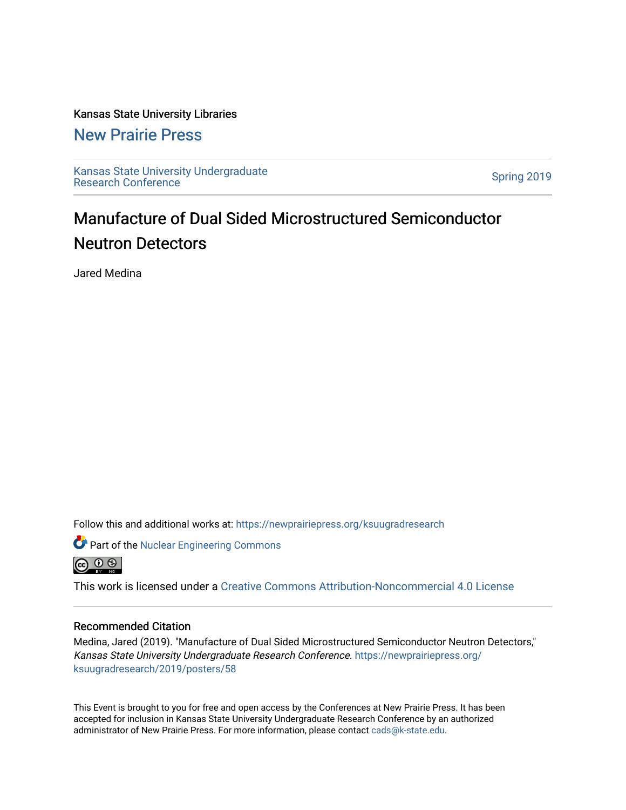#### Kansas State University Libraries

#### [New Prairie Press](https://newprairiepress.org/)

[Kansas State University Undergraduate](https://newprairiepress.org/ksuugradresearch)  Ransas State University Undergraduate<br>[Research Conference](https://newprairiepress.org/ksuugradresearch)

### Manufacture of Dual Sided Microstructured Semiconductor Neutron Detectors

Jared Medina

Follow this and additional works at: [https://newprairiepress.org/ksuugradresearch](https://newprairiepress.org/ksuugradresearch?utm_source=newprairiepress.org%2Fksuugradresearch%2F2019%2Fposters%2F58&utm_medium=PDF&utm_campaign=PDFCoverPages) 





This work is licensed under a [Creative Commons Attribution-Noncommercial 4.0 License](https://creativecommons.org/licenses/by-nc/4.0/)

#### Recommended Citation

Medina, Jared (2019). "Manufacture of Dual Sided Microstructured Semiconductor Neutron Detectors," Kansas State University Undergraduate Research Conference. [https://newprairiepress.org/](https://newprairiepress.org/ksuugradresearch/2019/posters/58) [ksuugradresearch/2019/posters/58](https://newprairiepress.org/ksuugradresearch/2019/posters/58)

This Event is brought to you for free and open access by the Conferences at New Prairie Press. It has been accepted for inclusion in Kansas State University Undergraduate Research Conference by an authorized administrator of New Prairie Press. For more information, please contact [cads@k-state.edu](mailto:cads@k-state.edu).